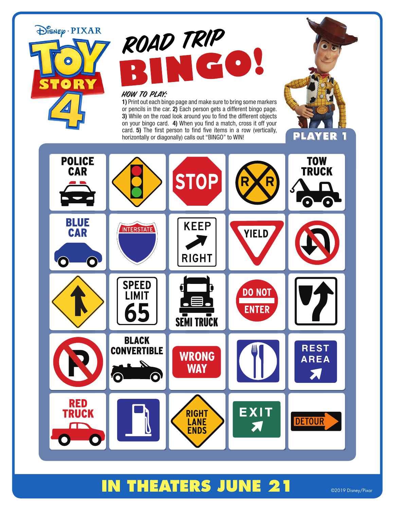# DISNEP PIXAR  $\bullet$  $\bullet$

## ROAD TRIP **COL**

#### How To Play:

**1)** Print out each bingo page and make sure to bring some markers or pencils in the car. **2)** Each person gets a different bingo page. **3)** While on the road look around you to find the different objects on your bingo card. **4)** When you find a match, cross it off your card. **5)** The first person to find five items in a row (vertically,



### **IN THEATERS JUNE 21** @2019 Disney/Pixar

**ENDS**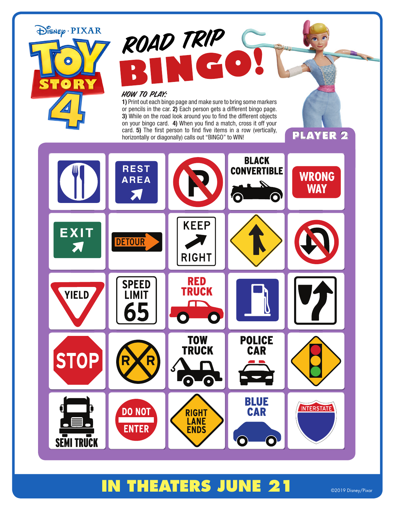

6

**DO NOT** 

**ENTER** 

**STO** 

**SEMI TRUCK** 

## **IN THEATERS JUNE 21** @2019 Disney/Pixar

**TOW TRUCK** 

 $\bullet$ 

**RIGHT LANE** 

**ENDS** 

0

**POLICE** 

**CAR** 

**BLUE** 

**CAR** 

 $\odot$ 

 $\ddot{\bullet}$ 

**INTERSTATE**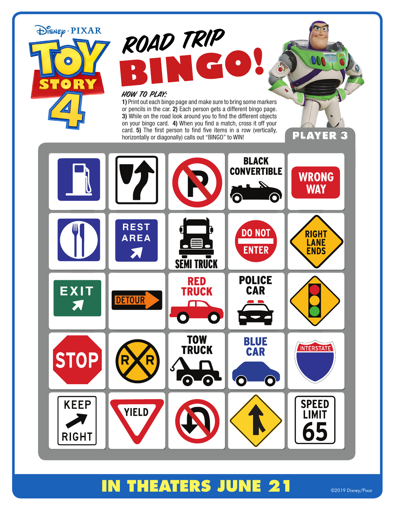

#### **IN THEATERS JUNE 21** @2019 Disney/Pixar